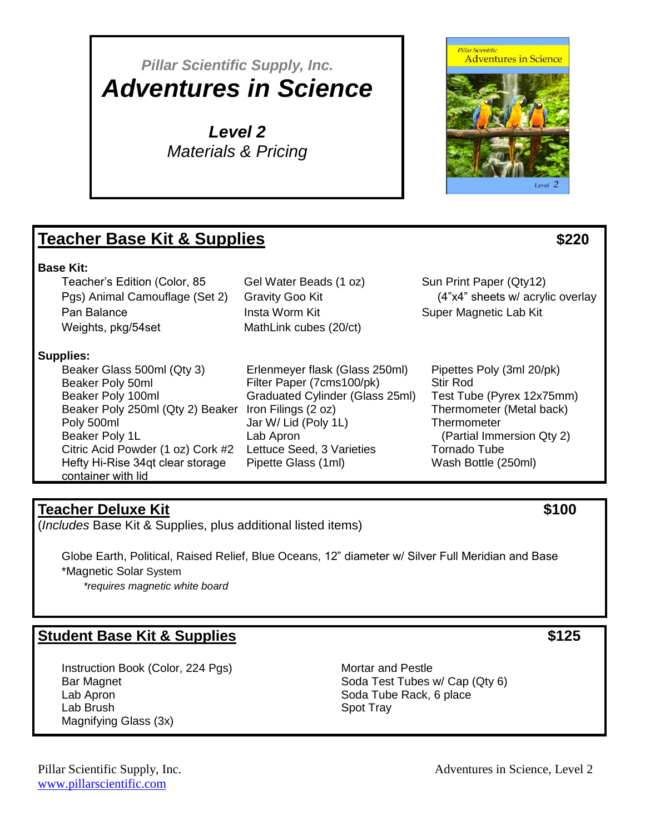# *Pillar Scientific Supply, Inc. Adventures in Science*

*Level 2 Materials & Pricing*

## **Teacher Base Kit & Supplies \$220**

#### **Base Kit:**

Teacher's Edition (Color, 85 Pgs) Animal Camouflage (Set 2) Pan Balance Weights, pkg/54set

**Supplies:** 

Beaker Glass 500ml (Qty 3) Beaker Poly 50ml Beaker Poly 100ml Beaker Poly 250ml (Qty 2) Beaker Iron Filings (2 oz) Poly 500ml Beaker Poly 1L Citric Acid Powder (1 oz) Cork #2 Hefty Hi-Rise 34qt clear storage container with lid

Erlenmeyer flask (Glass 250ml) Filter Paper (7cms100/pk) Graduated Cylinder (Glass 25ml) Jar W/ Lid (Poly 1L) Lab Apron Lettuce Seed, 3 Varieties Pipette Glass (1ml)

Gel Water Beads (1 oz)

MathLink cubes (20/ct)

Gravity Goo Kit Insta Worm Kit

Sun Print Paper (Qty12) (4"x4" sheets w/ acrylic overlay Super Magnetic Lab Kit

Pipettes Poly (3ml 20/pk) Stir Rod Test Tube (Pyrex 12x75mm) Thermometer (Metal back) **Thermometer**  (Partial Immersion Qty 2) Tornado Tube Wash Bottle (250ml)

## **Teacher Deluxe Kit \$100**

(*Includes* Base Kit & Supplies, plus additional listed items)

Globe Earth, Political, Raised Relief, Blue Oceans, 12" diameter w/ Silver Full Meridian and Base \*Magnetic Solar System *\*requires magnetic white board*

## **Student Base Kit & Supplies \$125**

Instruction Book (Color, 224 Pgs) Bar Magnet Lab Apron Lab Brush Magnifying Glass (3x)

Mortar and Pestle Soda Test Tubes w/ Cap (Qty 6) Soda Tube Rack, 6 place Spot Tray

[www.pillarscientific.com](file:///C:/Users/Kathy/Desktop/Pillar/www.pillarscientific.com)